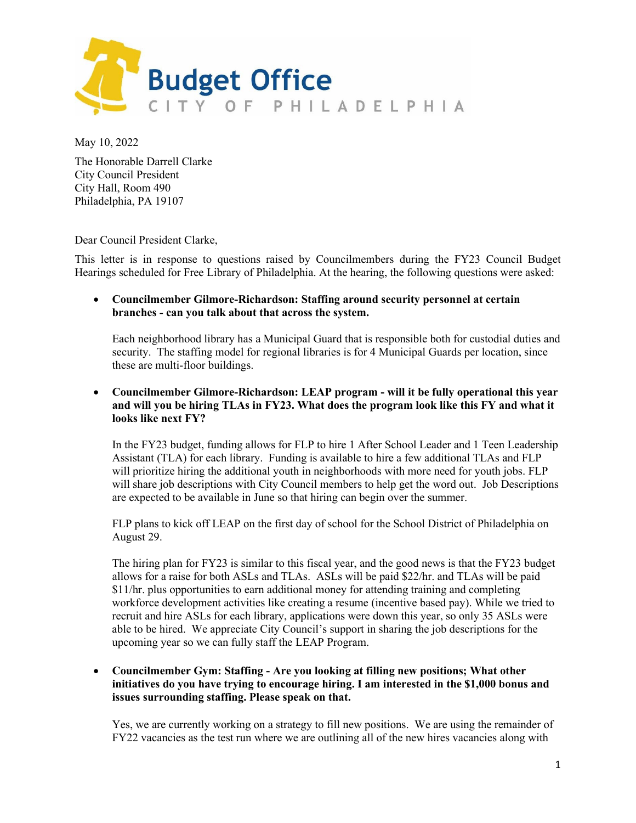

May 10, 2022

The Honorable Darrell Clarke City Council President City Hall, Room 490 Philadelphia, PA 19107

Dear Council President Clarke,

This letter is in response to questions raised by Councilmembers during the FY23 Council Budget Hearings scheduled for Free Library of Philadelphia. At the hearing, the following questions were asked:

• **Councilmember Gilmore-Richardson: Staffing around security personnel at certain branches - can you talk about that across the system.**

Each neighborhood library has a Municipal Guard that is responsible both for custodial duties and security. The staffing model for regional libraries is for 4 Municipal Guards per location, since these are multi-floor buildings.

• **Councilmember Gilmore-Richardson: LEAP program - will it be fully operational this year and will you be hiring TLAs in FY23. What does the program look like this FY and what it looks like next FY?**

In the FY23 budget, funding allows for FLP to hire 1 After School Leader and 1 Teen Leadership Assistant (TLA) for each library. Funding is available to hire a few additional TLAs and FLP will prioritize hiring the additional youth in neighborhoods with more need for youth jobs. FLP will share job descriptions with City Council members to help get the word out. Job Descriptions are expected to be available in June so that hiring can begin over the summer.

FLP plans to kick off LEAP on the first day of school for the School District of Philadelphia on August 29.

The hiring plan for FY23 is similar to this fiscal year, and the good news is that the FY23 budget allows for a raise for both ASLs and TLAs. ASLs will be paid \$22/hr. and TLAs will be paid \$11/hr. plus opportunities to earn additional money for attending training and completing workforce development activities like creating a resume (incentive based pay). While we tried to recruit and hire ASLs for each library, applications were down this year, so only 35 ASLs were able to be hired. We appreciate City Council's support in sharing the job descriptions for the upcoming year so we can fully staff the LEAP Program.

• **Councilmember Gym: Staffing - Are you looking at filling new positions; What other initiatives do you have trying to encourage hiring. I am interested in the \$1,000 bonus and issues surrounding staffing. Please speak on that.** 

Yes, we are currently working on a strategy to fill new positions. We are using the remainder of FY22 vacancies as the test run where we are outlining all of the new hires vacancies along with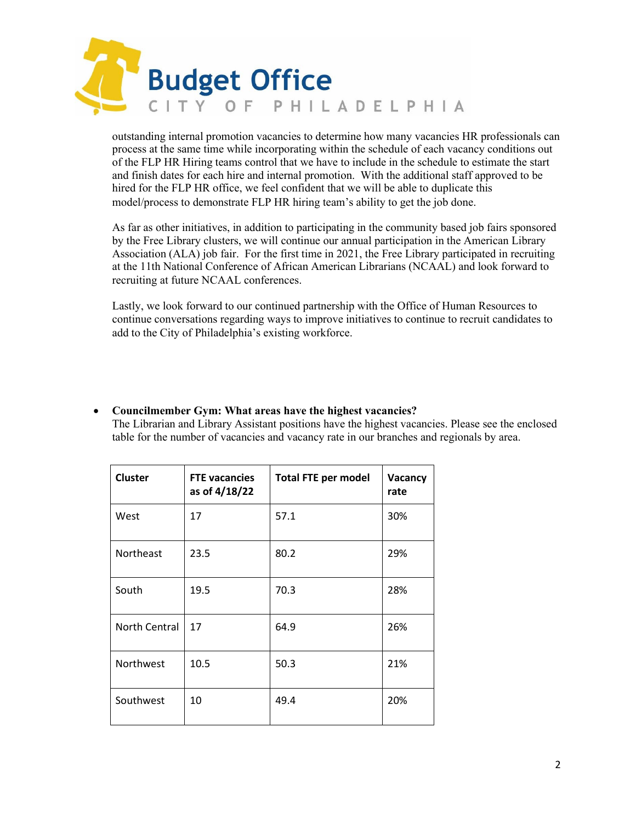

outstanding internal promotion vacancies to determine how many vacancies HR professionals can process at the same time while incorporating within the schedule of each vacancy conditions out of the FLP HR Hiring teams control that we have to include in the schedule to estimate the start and finish dates for each hire and internal promotion. With the additional staff approved to be hired for the FLP HR office, we feel confident that we will be able to duplicate this model/process to demonstrate FLP HR hiring team's ability to get the job done.

As far as other initiatives, in addition to participating in the community based job fairs sponsored by the Free Library clusters, we will continue our annual participation in the American Library Association (ALA) job fair. For the first time in 2021, the Free Library participated in recruiting at the 11th National Conference of African American Librarians (NCAAL) and look forward to recruiting at future NCAAL conferences.

Lastly, we look forward to our continued partnership with the Office of Human Resources to continue conversations regarding ways to improve initiatives to continue to recruit candidates to add to the City of Philadelphia's existing workforce.

# • **Councilmember Gym: What areas have the highest vacancies?**

The Librarian and Library Assistant positions have the highest vacancies. Please see the enclosed table for the number of vacancies and vacancy rate in our branches and regionals by area.

| <b>Cluster</b>       | <b>FTE vacancies</b><br>as of 4/18/22 | <b>Total FTE per model</b> | <b>Vacancy</b><br>rate |
|----------------------|---------------------------------------|----------------------------|------------------------|
| West                 | 17                                    | 57.1                       | 30%                    |
| Northeast            | 23.5                                  | 80.2                       | 29%                    |
| South                | 19.5                                  | 70.3                       | 28%                    |
| <b>North Central</b> | 17                                    | 64.9                       | 26%                    |
| Northwest            | 10.5                                  | 50.3                       | 21%                    |
| Southwest            | 10                                    | 49.4                       | 20%                    |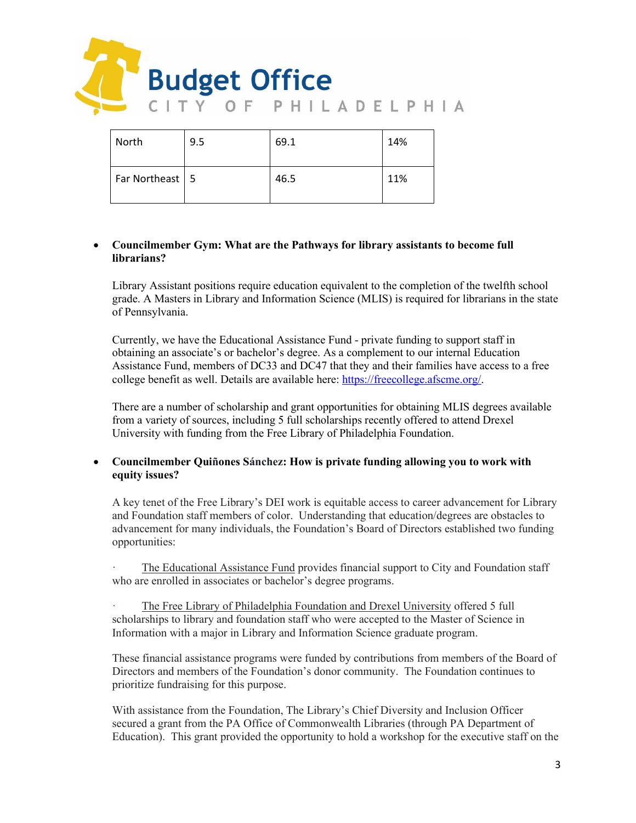

| North             | 9.5 | 69.1 | 14% |
|-------------------|-----|------|-----|
| Far Northeast   5 |     | 46.5 | 11% |

## • **Councilmember Gym: What are the Pathways for library assistants to become full librarians?**

Library Assistant positions require education equivalent to the completion of the twelfth school grade. A Masters in Library and Information Science (MLIS) is required for librarians in the state of Pennsylvania.

Currently, we have the Educational Assistance Fund - private funding to support staff in obtaining an associate's or bachelor's degree. As a complement to our internal Education Assistance Fund, members of DC33 and DC47 that they and their families have access to a free college benefit as well. Details are available here: [https://freecollege.afscme.org/.](https://freecollege.afscme.org/)

There are a number of scholarship and grant opportunities for obtaining MLIS degrees available from a variety of sources, including 5 full scholarships recently offered to attend Drexel University with funding from the Free Library of Philadelphia Foundation.

## • **Councilmember Quiñones Sánchez: How is private funding allowing you to work with equity issues?**

A key tenet of the Free Library's DEI work is equitable access to career advancement for Library and Foundation staff members of color. Understanding that education/degrees are obstacles to advancement for many individuals, the Foundation's Board of Directors established two funding opportunities:

The Educational Assistance Fund provides financial support to City and Foundation staff who are enrolled in associates or bachelor's degree programs.

The Free Library of Philadelphia Foundation and Drexel University offered 5 full scholarships to library and foundation staff who were accepted to the Master of Science in Information with a major in Library and Information Science graduate program.

These financial assistance programs were funded by contributions from members of the Board of Directors and members of the Foundation's donor community. The Foundation continues to prioritize fundraising for this purpose.

With assistance from the Foundation, The Library's Chief Diversity and Inclusion Officer secured a grant from the PA Office of Commonwealth Libraries (through PA Department of Education). This grant provided the opportunity to hold a workshop for the executive staff on the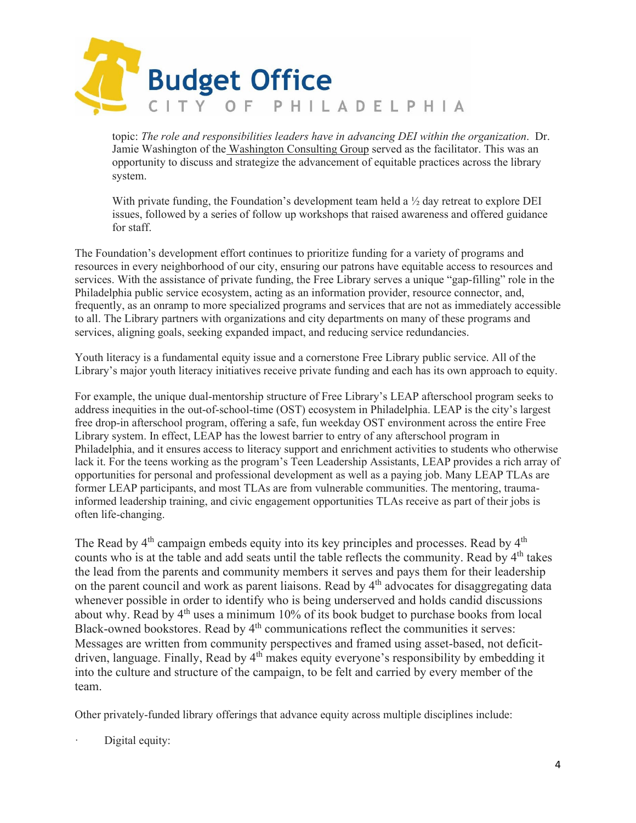

topic: *The role and responsibilities leaders have in advancing DEI within the organization*. Dr. Jamie Washington of th[e Washington Consulting Group](https://washingtonconsultinggroup.net/) served as the facilitator. This was an opportunity to discuss and strategize the advancement of equitable practices across the library system.

With private funding, the Foundation's development team held a  $\frac{1}{2}$  day retreat to explore DEI issues, followed by a series of follow up workshops that raised awareness and offered guidance for staff.

The Foundation's development effort continues to prioritize funding for a variety of programs and resources in every neighborhood of our city, ensuring our patrons have equitable access to resources and services. With the assistance of private funding, the Free Library serves a unique "gap-filling" role in the Philadelphia public service ecosystem, acting as an information provider, resource connector, and, frequently, as an onramp to more specialized programs and services that are not as immediately accessible to all. The Library partners with organizations and city departments on many of these programs and services, aligning goals, seeking expanded impact, and reducing service redundancies.

Youth literacy is a fundamental equity issue and a cornerstone Free Library public service. All of the Library's major youth literacy initiatives receive private funding and each has its own approach to equity.

For example, the unique dual-mentorship structure of Free Library's LEAP afterschool program seeks to address inequities in the out-of-school-time (OST) ecosystem in Philadelphia. LEAP is the city's largest free drop-in afterschool program, offering a safe, fun weekday OST environment across the entire Free Library system. In effect, LEAP has the lowest barrier to entry of any afterschool program in Philadelphia, and it ensures access to literacy support and enrichment activities to students who otherwise lack it. For the teens working as the program's Teen Leadership Assistants, LEAP provides a rich array of opportunities for personal and professional development as well as a paying job. Many LEAP TLAs are former LEAP participants, and most TLAs are from vulnerable communities. The mentoring, traumainformed leadership training, and civic engagement opportunities TLAs receive as part of their jobs is often life-changing.

The Read by  $4<sup>th</sup>$  campaign embeds equity into its key principles and processes. Read by  $4<sup>th</sup>$ counts who is at the table and add seats until the table reflects the community. Read by 4<sup>th</sup> takes the lead from the parents and community members it serves and pays them for their leadership on the parent council and work as parent liaisons. Read by  $4<sup>th</sup>$  advocates for disaggregating data whenever possible in order to identify who is being underserved and holds candid discussions about why. Read by  $4<sup>th</sup>$  uses a minimum 10% of its book budget to purchase books from local Black-owned bookstores. Read by 4<sup>th</sup> communications reflect the communities it serves: Messages are written from community perspectives and framed using asset-based, not deficitdriven, language. Finally, Read by 4<sup>th</sup> makes equity everyone's responsibility by embedding it into the culture and structure of the campaign, to be felt and carried by every member of the team.

Other privately-funded library offerings that advance equity across multiple disciplines include:

Digital equity: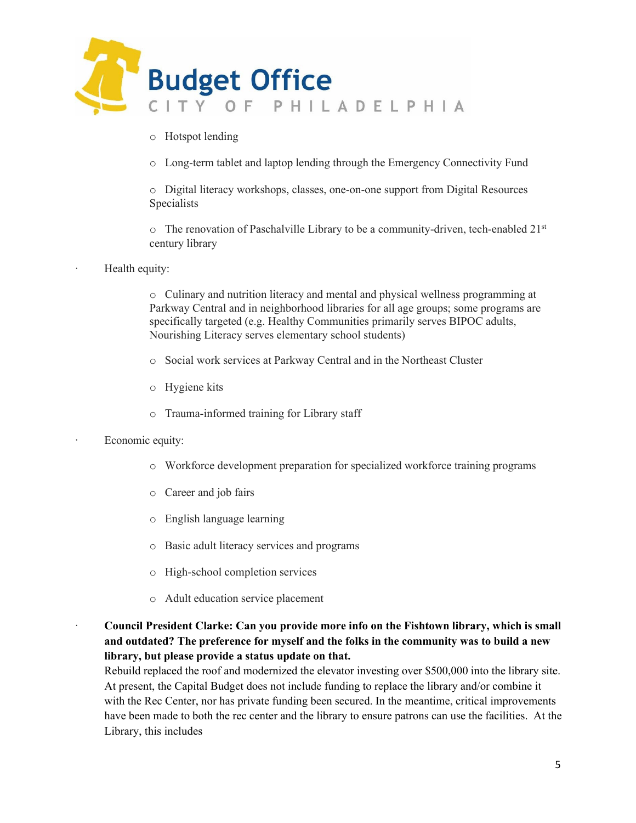

- o Hotspot lending
- o Long-term tablet and laptop lending through the Emergency Connectivity Fund

o Digital literacy workshops, classes, one-on-one support from Digital Resources Specialists

 $\circ$  The renovation of Paschalville Library to be a community-driven, tech-enabled 21st century library

Health equity:

o Culinary and nutrition literacy and mental and physical wellness programming at Parkway Central and in neighborhood libraries for all age groups; some programs are specifically targeted (e.g. Healthy Communities primarily serves BIPOC adults, Nourishing Literacy serves elementary school students)

- o Social work services at Parkway Central and in the Northeast Cluster
- o Hygiene kits
- o Trauma-informed training for Library staff
- Economic equity:
	- o Workforce development preparation for specialized workforce training programs
	- o Career and job fairs
	- o English language learning
	- o Basic adult literacy services and programs
	- o High-school completion services
	- o Adult education service placement
- · **Council President Clarke: Can you provide more info on the Fishtown library, which is small and outdated? The preference for myself and the folks in the community was to build a new library, but please provide a status update on that.**

Rebuild replaced the roof and modernized the elevator investing over \$500,000 into the library site. At present, the Capital Budget does not include funding to replace the library and/or combine it with the Rec Center, nor has private funding been secured. In the meantime, critical improvements have been made to both the rec center and the library to ensure patrons can use the facilities. At the Library, this includes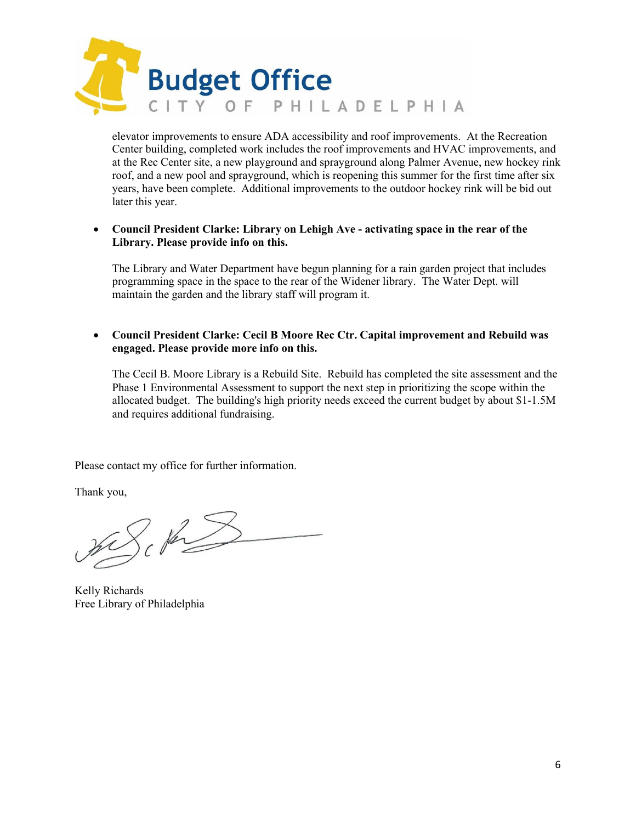

elevator improvements to ensure ADA accessibility and roof improvements. At the Recreation Center building, completed work includes the roof improvements and HVAC improvements, and at the Rec Center site, a new playground and sprayground along Palmer Avenue, new hockey rink roof, and a new pool and sprayground, which is reopening this summer for the first time after six years, have been complete. Additional improvements to the outdoor hockey rink will be bid out later this year.

### • **Council President Clarke: Library on Lehigh Ave - activating space in the rear of the Library. Please provide info on this.**

The Library and Water Department have begun planning for a rain garden project that includes programming space in the space to the rear of the Widener library. The Water Dept. will maintain the garden and the library staff will program it.

## • **Council President Clarke: Cecil B Moore Rec Ctr. Capital improvement and Rebuild was engaged. Please provide more info on this.**

The Cecil B. Moore Library is a Rebuild Site. Rebuild has completed the site assessment and the Phase 1 Environmental Assessment to support the next step in prioritizing the scope within the allocated budget. The building's high priority needs exceed the current budget by about \$1-1.5M and requires additional fundraising.

Please contact my office for further information.

Thank you,

mSch

Kelly Richards Free Library of Philadelphia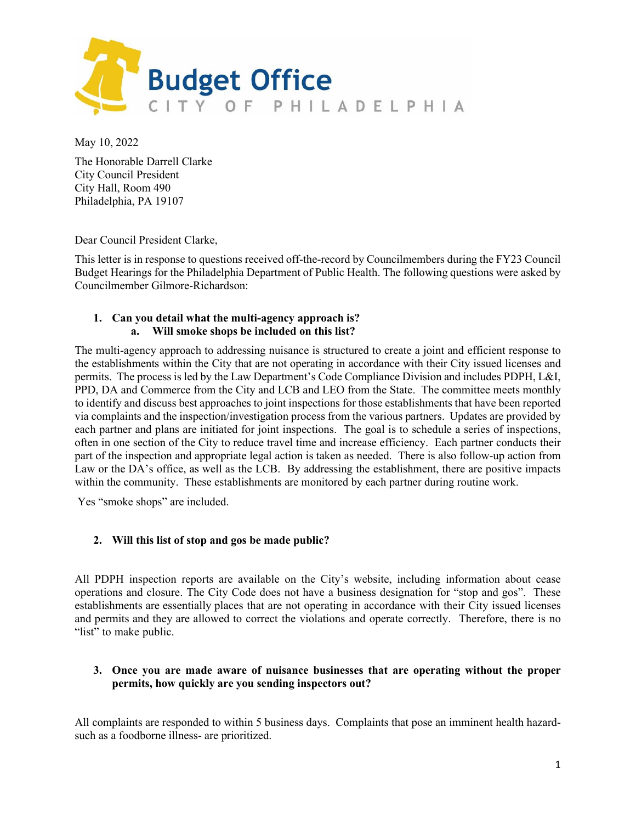

May 10, 2022

The Honorable Darrell Clarke City Council President City Hall, Room 490 Philadelphia, PA 19107

Dear Council President Clarke,

This letter is in response to questions received off-the-record by Councilmembers during the FY23 Council Budget Hearings for the Philadelphia Department of Public Health. The following questions were asked by Councilmember Gilmore-Richardson:

# **1. Can you detail what the multi-agency approach is? a. Will smoke shops be included on this list?**

The multi-agency approach to addressing nuisance is structured to create a joint and efficient response to the establishments within the City that are not operating in accordance with their City issued licenses and permits. The process is led by the Law Department's Code Compliance Division and includes PDPH, L&I, PPD, DA and Commerce from the City and LCB and LEO from the State. The committee meets monthly to identify and discuss best approaches to joint inspections for those establishments that have been reported via complaints and the inspection/investigation process from the various partners. Updates are provided by each partner and plans are initiated for joint inspections. The goal is to schedule a series of inspections, often in one section of the City to reduce travel time and increase efficiency. Each partner conducts their part of the inspection and appropriate legal action is taken as needed. There is also follow-up action from Law or the DA's office, as well as the LCB. By addressing the establishment, there are positive impacts within the community. These establishments are monitored by each partner during routine work.

Yes "smoke shops" are included.

# **2. Will this list of stop and gos be made public?**

All [PDPH inspection reports](https://www.phila.gov/services/permits-violations-licenses/get-a-license/business-licenses-permits-and-approvals/food-businesses/look-up-a-food-safety-inspection-report/) are available on the City's website, including information about cease operations and closure. The City Code does not have a business designation for "stop and gos". These establishments are essentially places that are not operating in accordance with their City issued licenses and permits and they are allowed to correct the violations and operate correctly. Therefore, there is no "list" to make public.

## **3. Once you are made aware of nuisance businesses that are operating without the proper permits, how quickly are you sending inspectors out?**

All complaints are responded to within 5 business days. Complaints that pose an imminent health hazardsuch as a foodborne illness- are prioritized.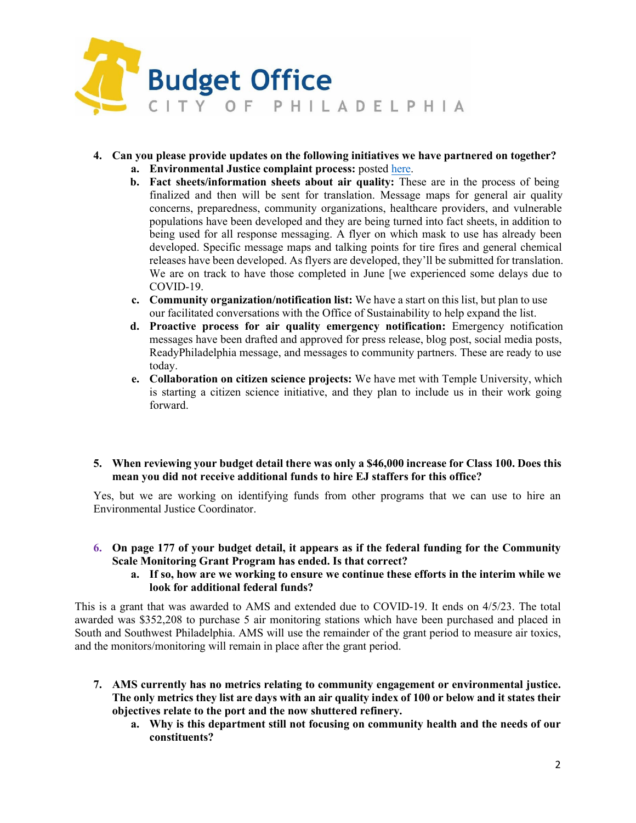

- **4. Can you please provide updates on the following initiatives we have partnered on together? a. Environmental Justice complaint process:** poste[d here.](https://www.phila.gov/services/mental-physical-health/report-a-health-or-safety-concern/report-an-environmental-justice-concern/)
	- **b. Fact sheets/information sheets about air quality:** These are in the process of being finalized and then will be sent for translation. Message maps for general air quality concerns, preparedness, community organizations, healthcare providers, and vulnerable populations have been developed and they are being turned into fact sheets, in addition to being used for all response messaging. A flyer on which mask to use has already been developed. Specific message maps and talking points for tire fires and general chemical releases have been developed. As flyers are developed, they'll be submitted for translation. We are on track to have those completed in June [we experienced some delays due to COVID-19.
	- **c. Community organization/notification list:** We have a start on this list, but plan to use our facilitated conversations with the Office of Sustainability to help expand the list.
	- **d. Proactive process for air quality emergency notification:** Emergency notification messages have been drafted and approved for press release, blog post, social media posts, ReadyPhiladelphia message, and messages to community partners. These are ready to use today.
	- **e. Collaboration on citizen science projects:** We have met with Temple University, which is starting a citizen science initiative, and they plan to include us in their work going forward.
- **5. When reviewing your budget detail there was only a \$46,000 increase for Class 100. Does this mean you did not receive additional funds to hire EJ staffers for this office?**

Yes, but we are working on identifying funds from other programs that we can use to hire an Environmental Justice Coordinator.

- **6. On page 177 of your budget detail, it appears as if the federal funding for the Community Scale Monitoring Grant Program has ended. Is that correct?**
	- **a. If so, how are we working to ensure we continue these efforts in the interim while we look for additional federal funds?**

This is a grant that was awarded to AMS and extended due to COVID-19. It ends on 4/5/23. The total awarded was \$352,208 to purchase 5 air monitoring stations which have been purchased and placed in South and Southwest Philadelphia. AMS will use the remainder of the grant period to measure air toxics, and the monitors/monitoring will remain in place after the grant period.

- **7. AMS currently has no metrics relating to community engagement or environmental justice. The only metrics they list are days with an air quality index of 100 or below and it states their objectives relate to the port and the now shuttered refinery.**
	- **a. Why is this department still not focusing on community health and the needs of our constituents?**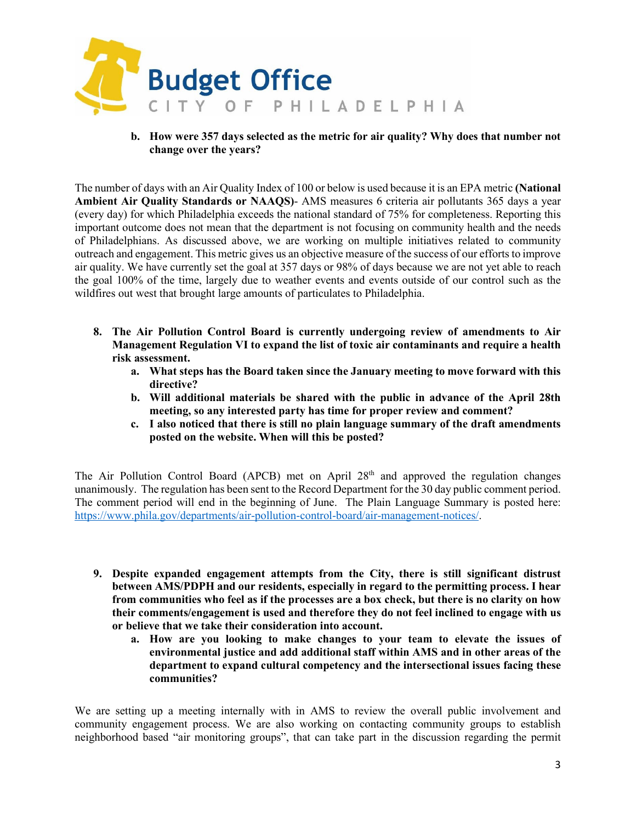

**b. How were 357 days selected as the metric for air quality? Why does that number not change over the years?**

The number of days with an Air Quality Index of 100 or below is used because it is an EPA metric **(National Ambient Air Quality Standards or NAAQS)**- AMS measures 6 criteria air pollutants 365 days a year (every day) for which Philadelphia exceeds the national standard of 75% for completeness. Reporting this important outcome does not mean that the department is not focusing on community health and the needs of Philadelphians. As discussed above, we are working on multiple initiatives related to community outreach and engagement. This metric gives us an objective measure of the success of our efforts to improve air quality. We have currently set the goal at 357 days or 98% of days because we are not yet able to reach the goal 100% of the time, largely due to weather events and events outside of our control such as the wildfires out west that brought large amounts of particulates to Philadelphia.

- **8. The Air Pollution Control Board is currently undergoing review of amendments to Air Management Regulation VI to expand the list of toxic air contaminants and require a health risk assessment.**
	- **a. What steps has the Board taken since the January meeting to move forward with this directive?**
	- **b. Will additional materials be shared with the public in advance of the April 28th meeting, so any interested party has time for proper review and comment?**
	- **c. I also noticed that there is still no plain language summary of the draft amendments posted on the website. When will this be posted?**

The Air Pollution Control Board (APCB) met on April  $28<sup>th</sup>$  and approved the regulation changes unanimously. The regulation has been sent to the Record Department for the 30 day public comment period. The comment period will end in the beginning of June. The Plain Language Summary is posted here: [https://www.phila.gov/departments/air-pollution-control-board/air-management-notices/.](https://www.phila.gov/departments/air-pollution-control-board/air-management-notices/)

- **9. Despite expanded engagement attempts from the City, there is still significant distrust between AMS/PDPH and our residents, especially in regard to the permitting process. I hear from communities who feel as if the processes are a box check, but there is no clarity on how their comments/engagement is used and therefore they do not feel inclined to engage with us or believe that we take their consideration into account.**
	- **a. How are you looking to make changes to your team to elevate the issues of environmental justice and add additional staff within AMS and in other areas of the department to expand cultural competency and the intersectional issues facing these communities?**

We are setting up a meeting internally with in AMS to review the overall public involvement and community engagement process. We are also working on contacting community groups to establish neighborhood based "air monitoring groups", that can take part in the discussion regarding the permit